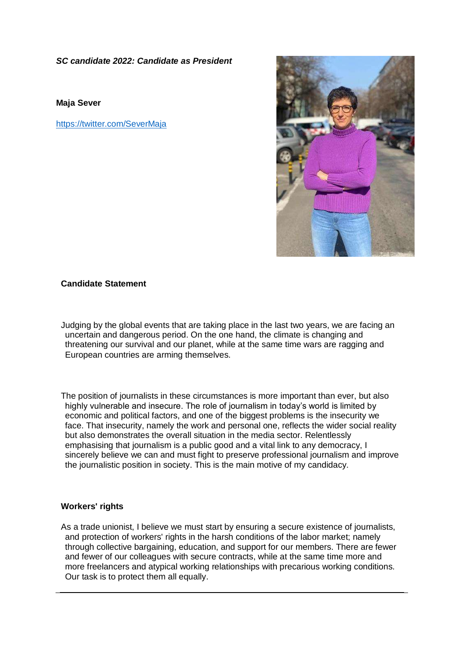*SC candidate 2022: Candidate as President*

**Maja Sever**

<https://twitter.com/SeverMaja>



# **Candidate Statement**

Judging by the global events that are taking place in the last two years, we are facing an uncertain and dangerous period. On the one hand, the climate is changing and threatening our survival and our planet, while at the same time wars are ragging and European countries are arming themselves.

The position of journalists in these circumstances is more important than ever, but also highly vulnerable and insecure. The role of journalism in today's world is limited by economic and political factors, and one of the biggest problems is the insecurity we face. That insecurity, namely the work and personal one, reflects the wider social reality but also demonstrates the overall situation in the media sector. Relentlessly emphasising that journalism is a public good and a vital link to any democracy, I sincerely believe we can and must fight to preserve professional journalism and improve the journalistic position in society. This is the main motive of my candidacy.

#### **Workers' rights**

As a trade unionist, I believe we must start by ensuring a secure existence of journalists, and protection of workers' rights in the harsh conditions of the labor market; namely through collective bargaining, education, and support for our members. There are fewer and fewer of our colleagues with secure contracts, while at the same time more and more freelancers and atypical working relationships with precarious working conditions. Our task is to protect them all equally.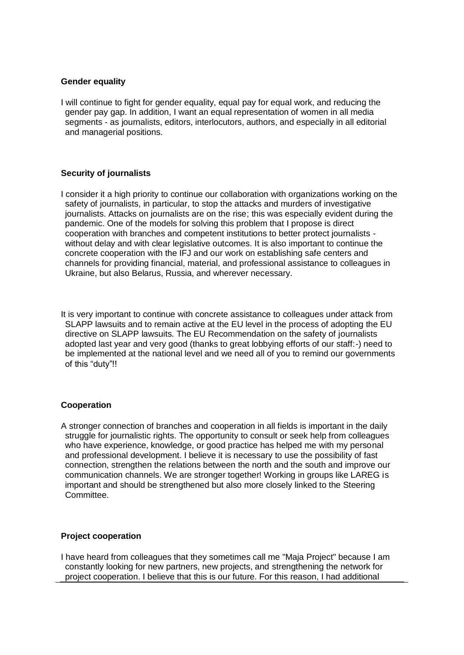## **Gender equality**

I will continue to fight for gender equality, equal pay for equal work, and reducing the gender pay gap. In addition, I want an equal representation of women in all media segments - as journalists, editors, interlocutors, authors, and especially in all editorial and managerial positions.

# **Security of journalists**

I consider it a high priority to continue our collaboration with organizations working on the safety of journalists, in particular, to stop the attacks and murders of investigative journalists. Attacks on journalists are on the rise; this was especially evident during the pandemic. One of the models for solving this problem that I propose is direct cooperation with branches and competent institutions to better protect journalists without delay and with clear legislative outcomes. It is also important to continue the concrete cooperation with the IFJ and our work on establishing safe centers and channels for providing financial, material, and professional assistance to colleagues in Ukraine, but also Belarus, Russia, and wherever necessary.

It is very important to continue with concrete assistance to colleagues under attack from SLAPP lawsuits and to remain active at the EU level in the process of adopting the EU directive on SLAPP lawsuits. The EU Recommendation on the safety of journalists adopted last year and very good (thanks to great lobbying efforts of our staff:-) need to be implemented at the national level and we need all of you to remind our governments of this "duty"!!

# **Cooperation**

A stronger connection of branches and cooperation in all fields is important in the daily struggle for journalistic rights. The opportunity to consult or seek help from colleagues who have experience, knowledge, or good practice has helped me with my personal and professional development. I believe it is necessary to use the possibility of fast connection, strengthen the relations between the north and the south and improve our communication channels. We are stronger together! Working in groups like LAREG is important and should be strengthened but also more closely linked to the Steering Committee.

#### **Project cooperation**

I have heard from colleagues that they sometimes call me "Maja Project" because I am constantly looking for new partners, new projects, and strengthening the network for project cooperation. I believe that this is our future. For this reason, I had additional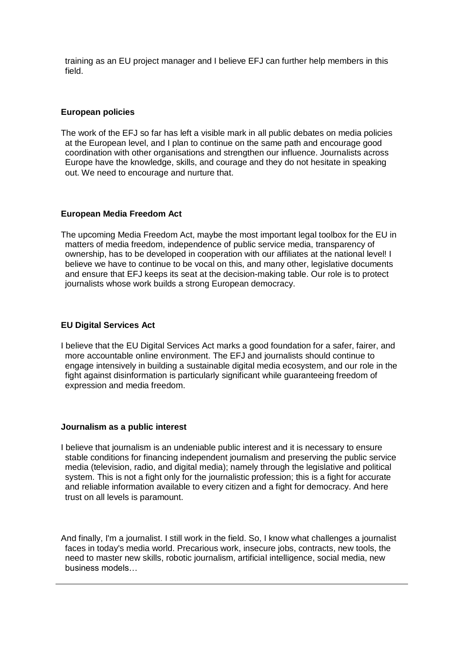training as an EU project manager and I believe EFJ can further help members in this field.

## **European policies**

The work of the EFJ so far has left a visible mark in all public debates on media policies at the European level, and I plan to continue on the same path and encourage good coordination with other organisations and strengthen our influence. Journalists across Europe have the knowledge, skills, and courage and they do not hesitate in speaking out. We need to encourage and nurture that.

## **European Media Freedom Act**

The upcoming Media Freedom Act, maybe the most important legal toolbox for the EU in matters of media freedom, independence of public service media, transparency of ownership, has to be developed in cooperation with our affiliates at the national level! I believe we have to continue to be vocal on this, and many other, legislative documents and ensure that EFJ keeps its seat at the decision-making table. Our role is to protect journalists whose work builds a strong European democracy.

## **EU Digital Services Act**

I believe that the EU Digital Services Act marks a good foundation for a safer, fairer, and more accountable online environment. The EFJ and journalists should continue to engage intensively in building a sustainable digital media ecosystem, and our role in the fight against disinformation is particularly significant while guaranteeing freedom of expression and media freedom.

#### **Journalism as a public interest**

- I believe that journalism is an undeniable public interest and it is necessary to ensure stable conditions for financing independent journalism and preserving the public service media (television, radio, and digital media); namely through the legislative and political system. This is not a fight only for the journalistic profession; this is a fight for accurate and reliable information available to every citizen and a fight for democracy. And here trust on all levels is paramount.
- And finally, I'm a journalist. I still work in the field. So, I know what challenges a journalist faces in today's media world. Precarious work, insecure jobs, contracts, new tools, the need to master new skills, robotic journalism, artificial intelligence, social media, new business models…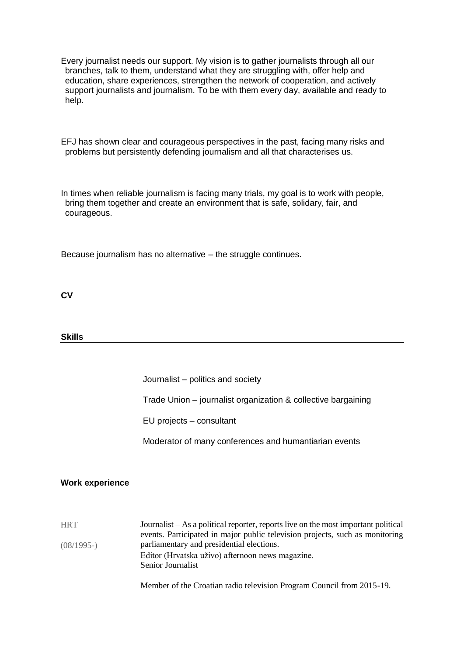- Every journalist needs our support. My vision is to gather journalists through all our branches, talk to them, understand what they are struggling with, offer help and education, share experiences, strengthen the network of cooperation, and actively support journalists and journalism. To be with them every day, available and ready to help.
- EFJ has shown clear and courageous perspectives in the past, facing many risks and problems but persistently defending journalism and all that characterises us.

In times when reliable journalism is facing many trials, my goal is to work with people, bring them together and create an environment that is safe, solidary, fair, and courageous.

Because journalism has no alternative – the struggle continues.

**CV**

**Skills**

Journalist – politics and society

Trade Union – journalist organization & collective bargaining

EU projects – consultant

Moderator of many conferences and humantiarian events

#### **Work experience**

**HRT** (08/1995-) Journalist – As a political reporter, reports live on the most important political events. Participated in major public television projects, such as monitoring parliamentary and presidential elections. Editor (Hrvatska uživo) afternoon news magazine. Senior Journalist

Member of the Croatian radio television Program Council from 2015-19.